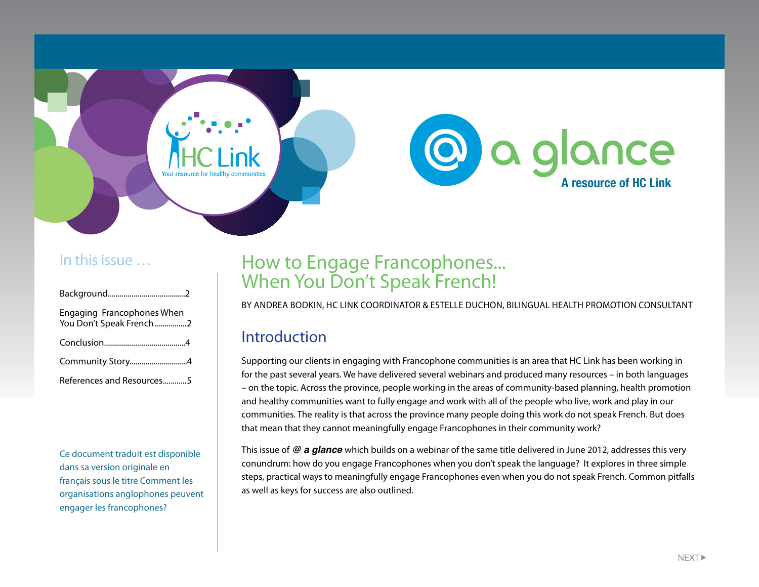

### <span id="page-0-0"></span>In this issue …

| Engaging Francophones When<br>You Don't Speak French 2 |  |
|--------------------------------------------------------|--|
|                                                        |  |
| Community Story4                                       |  |
| References and Resources5                              |  |

Ce document traduit est disponible dans sa version originale en français sous le titre Comment les organisations anglophones peuvent engager les francophones?

# How to Engage Francophones... When You Don't Speak French!

By Andrea Bodkin, HC Link Coordinator & Estelle Duchon, Bilingual Health Promotion Consultant

### Introduction

Supporting our clients in engaging with Francophone communities is an area that HC Link has been working in for the past several years. We have delivered several webinars and produced many resources – in both languages – on the topic. Across the province, people working in the areas of community-based planning, health promotion and healthy communities want to fully engage and work with all of the people who live, work and play in our communities. The reality is that across the province many people doing this work do not speak French. But does that mean that they cannot meaningfully engage Francophones in their community work?

This issue of *@ a glance* which builds on a webinar of the same title delivered in June 2012, addresses this very conundrum: how do you engage Francophones when you don't speak the language? It explores in three simple steps, practical ways to meaningfully engage Francophones even when you do not speak French. Common pitfalls as well as keys for success are also outlined.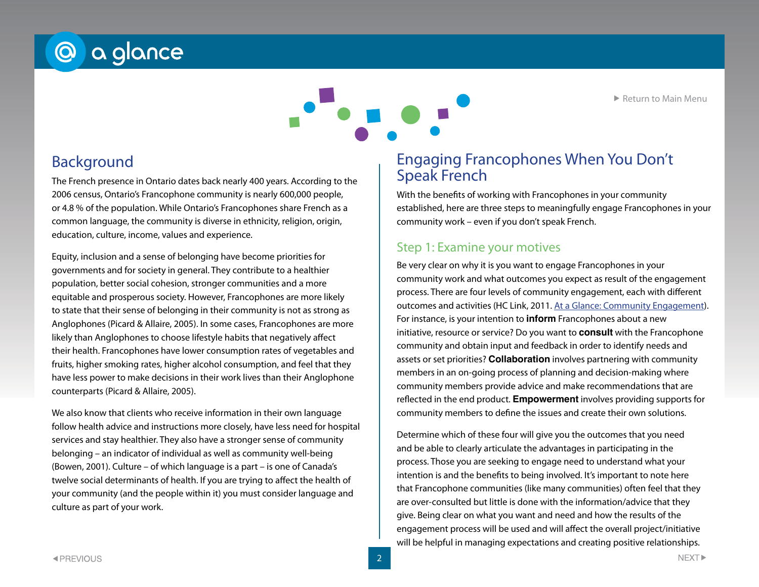▶ [Return to Main Menu](#page-0-0)

# @ a glance

Background

The French presence in Ontario dates back nearly 400 years. According to the 2006 census, Ontario's Francophone community is nearly 600,000 people, or 4.8 % of the population. While Ontario's Francophones share French as a common language, the community is diverse in ethnicity, religion, origin, education, culture, income, values and experience.

Equity, inclusion and a sense of belonging have become priorities for governments and for society in general. They contribute to a healthier population, better social cohesion, stronger communities and a more equitable and prosperous society. However, Francophones are more likely to state that their sense of belonging in their community is not as strong as Anglophones (Picard & Allaire, 2005). In some cases, Francophones are more likely than Anglophones to choose lifestyle habits that negatively affect their health. Francophones have lower consumption rates of vegetables and fruits, higher smoking rates, higher alcohol consumption, and feel that they have less power to make decisions in their work lives than their Anglophone counterparts (Picard & Allaire, 2005).

We also know that clients who receive information in their own language follow health advice and instructions more closely, have less need for hospital services and stay healthier. They also have a stronger sense of community belonging – an indicator of individual as well as community well-being (Bowen, 2001). Culture – of which language is a part – is one of Canada's twelve social determinants of health. If you are trying to affect the health of your community (and the people within it) you must consider language and culture as part of your work.

### <span id="page-1-0"></span>Engaging Francophones When You Don't Speak French

With the benefits of working with Francophones in your community established, here are three steps to meaningfully engage Francophones in your community work – even if you don't speak French.

#### Step 1: Examine your motives

Be very clear on why it is you want to engage Francophones in your community work and what outcomes you expect as result of the engagement process. There are four levels of community engagement, each with different outcomes and activities (HC Link, 2011. [At a Glance: Community Engagement\)](http://www.hclinkontario.ca/images/Uploaded_files/2011/ataglance_CommunityEngagement.pdf). For instance, is your intention to **inform** Francophones about a new initiative, resource or service? Do you want to **consult** with the Francophone community and obtain input and feedback in order to identify needs and assets or set priorities? **Collaboration** involves partnering with community members in an on-going process of planning and decision-making where community members provide advice and make recommendations that are reflected in the end product. **Empowerment** involves providing supports for community members to define the issues and create their own solutions.

Determine which of these four will give you the outcomes that you need and be able to clearly articulate the advantages in participating in the process. Those you are seeking to engage need to understand what your intention is and the benefits to being involved. It's important to note here that Francophone communities (like many communities) often feel that they are over-consulted but little is done with the information/advice that they give. Being clear on what you want and need and how the results of the engagement process will be used and will affect the overall project/initiative will be helpful in managing expectations and creating positive relationships.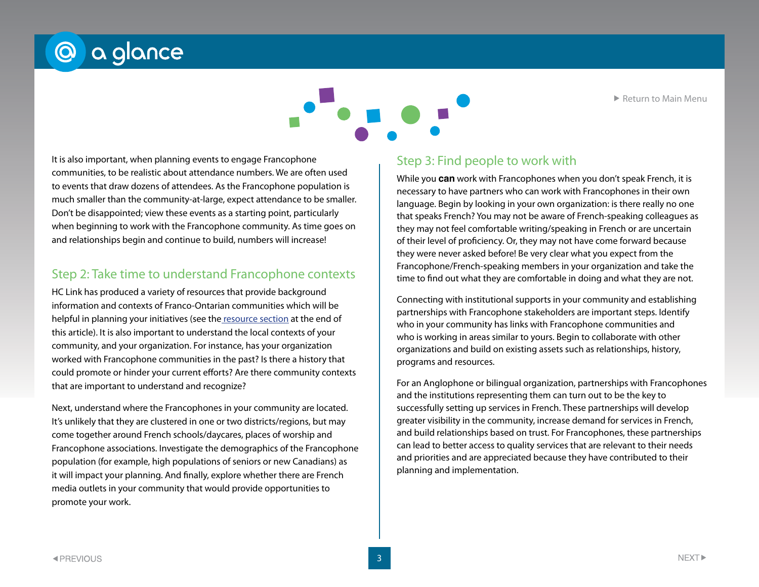

that are important to understand and recognize? Next, understand where the Francophones in your community are located. It's unlikely that they are clustered in one or two districts/regions, but may come together around French schools/daycares, places of worship and Francophone associations. Investigate the demographics of the Francophone population (for example, high populations of seniors or new Canadians) as it will impact your planning. And finally, explore whether there are French media outlets in your community that would provide opportunities to promote your work.

Step 2: Take time to understand Francophone contexts

HC Link has produced a variety of resources that provide background information and contexts of Franco-Ontarian communities which will be helpful in planning your initiatives (see the [resource section](#page-4-0) at the end of this article). It is also important to understand the local contexts of your community, and your organization. For instance, has your organization worked with Francophone communities in the past? Is there a history that

could promote or hinder your current efforts? Are there community contexts

#### to events that draw dozens of attendees. As the Francophone population is much smaller than the community-at-large, expect attendance to be smaller. Don't be disappointed; view these events as a starting point, particularly when beginning to work with the Francophone community. As time goes on and relationships begin and continue to build, numbers will increase!

communities, to be realistic about attendance numbers. We are often used

It is also important, when planning events to engage Francophone

@ a glance

language. Begin by looking in your own organization: is there really no one that speaks French? You may not be aware of French-speaking colleagues as they may not feel comfortable writing/speaking in French or are uncertain of their level of proficiency. Or, they may not have come forward because they were never asked before! Be very clear what you expect from the Francophone/French-speaking members in your organization and take the time to find out what they are comfortable in doing and what they are not.

While you **can** work with Francophones when you don't speak French, it is necessary to have partners who can work with Francophones in their own

Step 3: Find people to work with

Connecting with institutional supports in your community and establishing partnerships with Francophone stakeholders are important steps. Identify who in your community has links with Francophone communities and who is working in areas similar to yours. Begin to collaborate with other organizations and build on existing assets such as relationships, history, programs and resources.

For an Anglophone or bilingual organization, partnerships with Francophones and the institutions representing them can turn out to be the key to successfully setting up services in French. These partnerships will develop greater visibility in the community, increase demand for services in French, and build relationships based on trust. For Francophones, these partnerships can lead to better access to quality services that are relevant to their needs and priorities and are appreciated because they have contributed to their planning and implementation.

**◀PREVIOUS** 



▶ [Return to Main Menu](#page-0-0)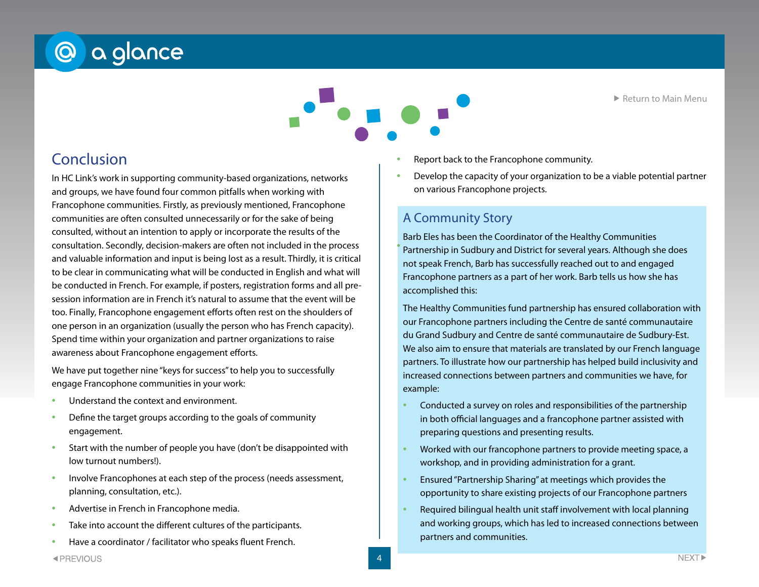▶ [Return to Main Menu](#page-0-0)

# @ a glance

# Conclusion

In HC Link's work in supporting community-based organizations, networks and groups, we have found four common pitfalls when working with Francophone communities. Firstly, as previously mentioned, Francophone communities are often consulted unnecessarily or for the sake of being consulted, without an intention to apply or incorporate the results of the consultation. Secondly, decision-makers are often not included in the process and valuable information and input is being lost as a result. Thirdly, it is critical to be clear in communicating what will be conducted in English and what will be conducted in French. For example, if posters, registration forms and all presession information are in French it's natural to assume that the event will be too. Finally, Francophone engagement efforts often rest on the shoulders of one person in an organization (usually the person who has French capacity). Spend time within your organization and partner organizations to raise awareness about Francophone engagement efforts.

We have put together nine "keys for success" to help you to successfully engage Francophone communities in your work:

- Understand the context and environment.
- Define the target groups according to the goals of community engagement.
- Start with the number of people you have (don't be disappointed with low turnout numbers!).
- Involve Francophones at each step of the process (needs assessment, planning, consultation, etc.).
- Advertise in French in Francophone media.
- Take into account the different cultures of the participants.
- Have a coordinator / facilitator who speaks fluent French.
- Report back to the Francophone community.
- Develop the capacity of your organization to be a viable potential partner on various Francophone projects.

#### A Community Story

• Barb Eleb has been the ebordinator of the nearing communities<br>• Partnership in Sudbury and District for several years. Although she does Barb Eles has been the Coordinator of the Healthy Communities not speak French, Barb has successfully reached out to and engaged Francophone partners as a part of her work. Barb tells us how she has accomplished this:

The Healthy Communities fund partnership has ensured collaboration with our Francophone partners including the Centre de santé communautaire du Grand Sudbury and Centre de santé communautaire de Sudbury-Est. We also aim to ensure that materials are translated by our French language partners. To illustrate how our partnership has helped build inclusivity and increased connections between partners and communities we have, for example:

- Conducted a survey on roles and responsibilities of the partnership in both official languages and a francophone partner assisted with preparing questions and presenting results.
- Worked with our francophone partners to provide meeting space, a workshop, and in providing administration for a grant.
- Ensured "Partnership Sharing" at meetings which provides the opportunity to share existing projects of our Francophone partners
- Required bilingual health unit staff involvement with local planning and working groups, which has led to increased connections between partners and communities.